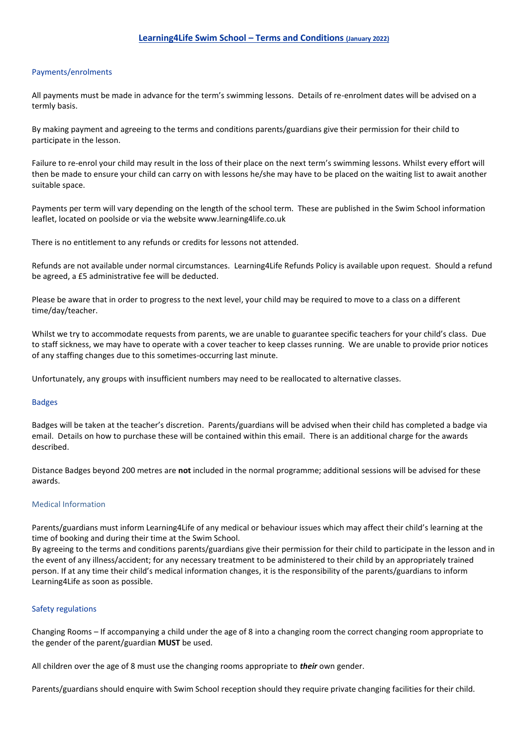### Payments/enrolments

All payments must be made in advance for the term's swimming lessons. Details of re-enrolment dates will be advised on a termly basis.

By making payment and agreeing to the terms and conditions parents/guardians give their permission for their child to participate in the lesson.

Failure to re-enrol your child may result in the loss of their place on the next term's swimming lessons. Whilst every effort will then be made to ensure your child can carry on with lessons he/she may have to be placed on the waiting list to await another suitable space.

Payments per term will vary depending on the length of the school term. These are published in the Swim School information leaflet, located on poolside or via the website www.learning4life.co.uk

There is no entitlement to any refunds or credits for lessons not attended.

Refunds are not available under normal circumstances. Learning4Life Refunds Policy is available upon request. Should a refund be agreed, a £5 administrative fee will be deducted.

Please be aware that in order to progress to the next level, your child may be required to move to a class on a different time/day/teacher.

Whilst we try to accommodate requests from parents, we are unable to guarantee specific teachers for your child's class. Due to staff sickness, we may have to operate with a cover teacher to keep classes running. We are unable to provide prior notices of any staffing changes due to this sometimes-occurring last minute.

Unfortunately, any groups with insufficient numbers may need to be reallocated to alternative classes.

#### Badges

Badges will be taken at the teacher's discretion. Parents/guardians will be advised when their child has completed a badge via email. Details on how to purchase these will be contained within this email. There is an additional charge for the awards described.

Distance Badges beyond 200 metres are **not** included in the normal programme; additional sessions will be advised for these awards.

# Medical Information

Parents/guardians must inform Learning4Life of any medical or behaviour issues which may affect their child's learning at the time of booking and during their time at the Swim School.

By agreeing to the terms and conditions parents/guardians give their permission for their child to participate in the lesson and in the event of any illness/accident; for any necessary treatment to be administered to their child by an appropriately trained person. If at any time their child's medical information changes, it is the responsibility of the parents/guardians to inform Learning4Life as soon as possible.

#### Safety regulations

Changing Rooms – If accompanying a child under the age of 8 into a changing room the correct changing room appropriate to the gender of the parent/guardian **MUST** be used.

All children over the age of 8 must use the changing rooms appropriate to *their* own gender.

Parents/guardians should enquire with Swim School reception should they require private changing facilities for their child.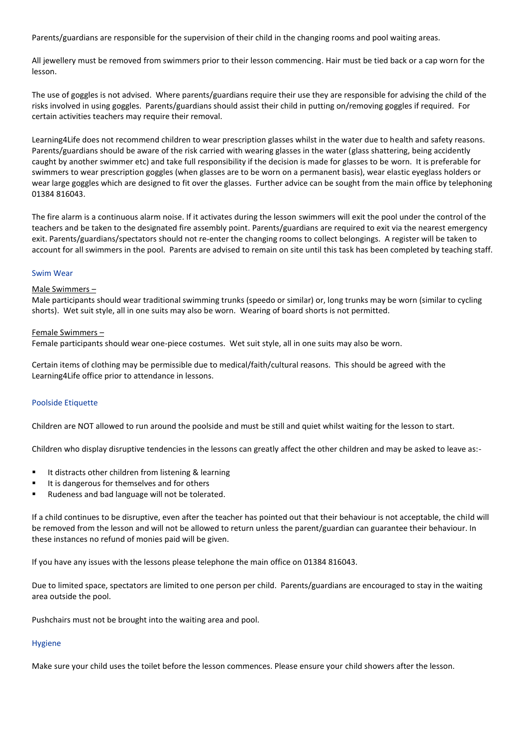Parents/guardians are responsible for the supervision of their child in the changing rooms and pool waiting areas.

All jewellery must be removed from swimmers prior to their lesson commencing. Hair must be tied back or a cap worn for the lesson.

The use of goggles is not advised. Where parents/guardians require their use they are responsible for advising the child of the risks involved in using goggles. Parents/guardians should assist their child in putting on/removing goggles if required. For certain activities teachers may require their removal.

Learning4Life does not recommend children to wear prescription glasses whilst in the water due to health and safety reasons. Parents/guardians should be aware of the risk carried with wearing glasses in the water (glass shattering, being accidently caught by another swimmer etc) and take full responsibility if the decision is made for glasses to be worn. It is preferable for swimmers to wear prescription goggles (when glasses are to be worn on a permanent basis), wear elastic eyeglass holders or wear large goggles which are designed to fit over the glasses. Further advice can be sought from the main office by telephoning 01384 816043.

The fire alarm is a continuous alarm noise. If it activates during the lesson swimmers will exit the pool under the control of the teachers and be taken to the designated fire assembly point. Parents/guardians are required to exit via the nearest emergency exit. Parents/guardians/spectators should not re-enter the changing rooms to collect belongings. A register will be taken to account for all swimmers in the pool. Parents are advised to remain on site until this task has been completed by teaching staff.

## Swim Wear

# Male Swimmers –

Male participants should wear traditional swimming trunks (speedo or similar) or, long trunks may be worn (similar to cycling shorts). Wet suit style, all in one suits may also be worn. Wearing of board shorts is not permitted.

## Female Swimmers –

Female participants should wear one-piece costumes. Wet suit style, all in one suits may also be worn.

Certain items of clothing may be permissible due to medical/faith/cultural reasons. This should be agreed with the Learning4Life office prior to attendance in lessons.

# Poolside Etiquette

Children are NOT allowed to run around the poolside and must be still and quiet whilst waiting for the lesson to start.

Children who display disruptive tendencies in the lessons can greatly affect the other children and may be asked to leave as:-

- It distracts other children from listening & learning
- It is dangerous for themselves and for others
- Rudeness and bad language will not be tolerated.

If a child continues to be disruptive, even after the teacher has pointed out that their behaviour is not acceptable, the child will be removed from the lesson and will not be allowed to return unless the parent/guardian can guarantee their behaviour. In these instances no refund of monies paid will be given.

If you have any issues with the lessons please telephone the main office on 01384 816043.

Due to limited space, spectators are limited to one person per child. Parents/guardians are encouraged to stay in the waiting area outside the pool.

Pushchairs must not be brought into the waiting area and pool.

# Hygiene

Make sure your child uses the toilet before the lesson commences. Please ensure your child showers after the lesson.